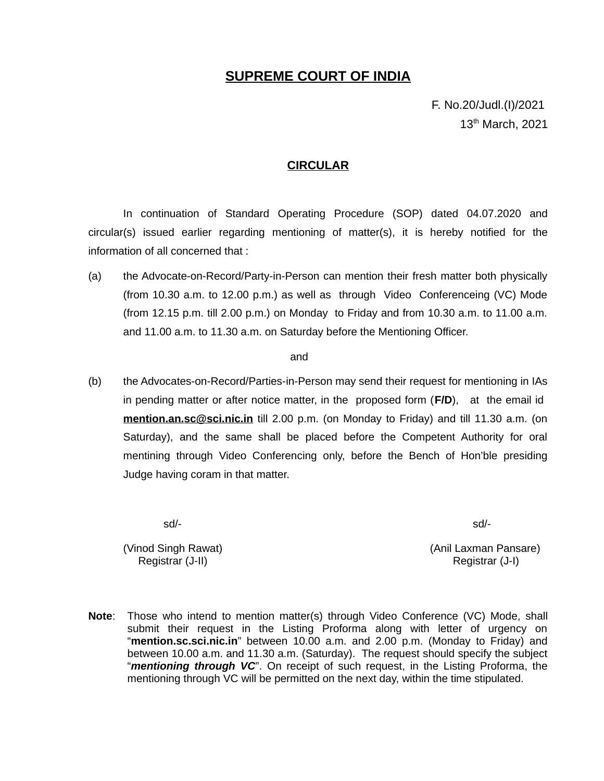### **SUPREME COURT OF INDIA**

F. No.20/Judl.(I)/2021 13<sup>th</sup> March, 2021

#### **CIRCULAR**

In continuation of Standard Operating Procedure (SOP) dated 04.07.2020 and circular(s) issued earlier regarding mentioning of matter(s), it is hereby notified for the information of all concerned that :

(a) the Advocate-on-Record/Party-in-Person can mention their fresh matter both physically (from 10.30 a.m. to 12.00 p.m.) as well as through Video Conferenceing (VC) Mode (from 12.15 p.m. till 2.00 p.m.) on Monday to Friday and from 10.30 a.m. to 11.00 a.m. and 11.00 a.m. to 11.30 a.m. on Saturday before the Mentioning Officer.

#### and

(b) the Advocates-on-Record/Parties-in-Person may send their request for mentioning in IAs in pending matter or after notice matter, in the proposed form (**F/D**), at the email id  **[mention. an.sc@sci.nic.in](mailto:mention.an.sc@sci.nic.in)** till 2.00 p.m. (on Monday to Friday) and till 11.30 a.m. (on Saturday), and the same shall be placed before the Competent Authority for oral mentining through Video Conferencing only, before the Bench of Hon'ble presiding Judge having coram in that matter.

sd/- sd/-

(Vinod Singh Rawat) (Anil Laxman Pansare) Registrar (J-II) Registrar (J-I)

**Note**: Those who intend to mention matter(s) through Video Conference (VC) Mode, shall submit their request in the Listing Proforma along with letter of urgency on "**mention.sc.sci.nic.in**" between 10.00 a.m. and 2.00 p.m. (Monday to Friday) and between 10.00 a.m. and 11.30 a.m. (Saturday). The request should specify the subject "*mentioning through VC*". On receipt of such request, in the Listing Proforma, the mentioning through VC will be permitted on the next day, within the time stipulated.